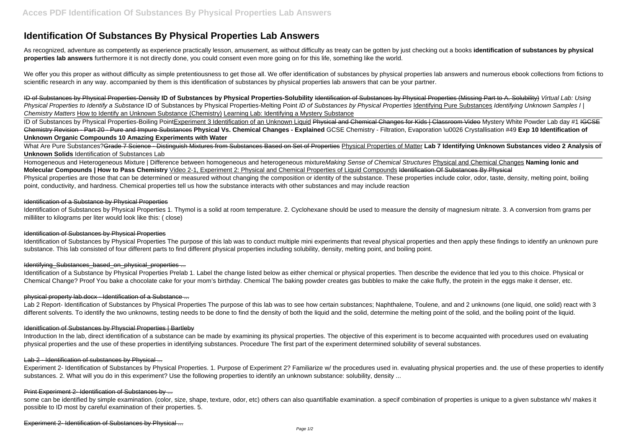# **Identification Of Substances By Physical Properties Lab Answers**

As recognized, adventure as competently as experience practically lesson, amusement, as without difficulty as treaty can be gotten by just checking out a books **identification of substances by physical properties lab answers** furthermore it is not directly done, you could consent even more going on for this life, something like the world.

We offer you this proper as without difficulty as simple pretentiousness to get those all. We offer identification of substances by physical properties lab answers and numerous ebook collections from fictions to scientific research in any way. accompanied by them is this identification of substances by physical properties lab answers that can be your partner.

ID of Substances by Physical Properties-Density **ID of Substances by Physical Properties-Solubility** Identification of Substances by Physical Properties (Missing Part to A. Solubility) Virtual Lab: Using Physical Properties to Identify a Substance ID of Substances by Physical Properties-Melting Point ID of Substances by Physical Properties Identifying Pure Substances Identifying Unknown Samples I | Chemistry Matters How to Identify an Unknown Substance (Chemistry) Learning Lab: Identifying a Mystery Substance

ID of Substances by Physical Properties-Boiling PointExperiment 3 Identification of an Unknown Liquid Physical and Chemical Changes for Kids | Classroom Video Mystery White Powder Lab day #1 IGCSE Chemistry Revision - Part 20 - Pure and Impure Substances **Physical Vs. Chemical Changes - Explained** GCSE Chemistry - Filtration, Evaporation \u0026 Crystallisation #49 **Exp 10 Identification of Unknown Organic Compounds 10 Amazing Experiments with Water**

Identification of Substances by Physical Properties The purpose of this lab was to conduct multiple mini experiments that reveal physical properties and then apply these findings to identify an unknown pure substance. This lab consisted of four different parts to find different physical properties including solubility, density, melting point, and boiling point.

# Identifying Substances based on physical properties ...

What Are Pure Substances?Grade 7 Science - Distinguish Mixtures from Substances Based on Set of Properties Physical Properties of Matter **Lab 7 Identifying Unknown Substances video 2 Analysis of Unknown Solids** Identification of Substances Lab

Identification of a Substance by Physical Properties Prelab 1. Label the change listed below as either chemical or physical properties. Then describe the evidence that led you to this choice. Physical or Chemical Change? Proof You bake a chocolate cake for your mom's birthday. Chemical The baking powder creates gas bubbles to make the cake fluffy, the protein in the eggs make it denser, etc.

Homogeneous and Heterogeneous Mixture | Difference between homogeneous and heterogeneous mixtureMaking Sense of Chemical Structures Physical and Chemical Changes **Naming Ionic and Molecular Compounds | How to Pass Chemistry** Video 2-1, Experiment 2: Physical and Chemical Properties of Liquid Compounds Identification Of Substances By Physical Physical properties are those that can be determined or measured without changing the composition or identity of the substance. These properties include color, odor, taste, density, melting point, boiling point, conductivity, and hardness. Chemical properties tell us how the substance interacts with other substances and may include reaction

# Identification of a Substance by Physical Properties

some can be identified by simple examination. (color, size, shape, texture, odor, etc) others can also quantifiable examination. a specif combination of properties is unique to a given substance wh/ makes it possible to ID most by careful examination of their properties. 5.

Experiment 2- Identification of Substances by Physical ...

Identification of Substances by Physical Properties 1. Thymol is a solid at room temperature. 2. Cyclohexane should be used to measure the density of magnesium nitrate. 3. A conversion from grams per milliliter to kilograms per liter would look like this: ( close)

# Identification of Substances by Physical Properties

# physical property lab.docx - Identification of a Substance ...

Lab 2 Report- Identification of Substances by Physical Properties The purpose of this lab was to see how certain substances; Naphthalene, Toulene, and and 2 unknowns (one liquid, one solid) react with 3 different solvents. To identify the two unknowns, testing needs to be done to find the density of both the liquid and the solid, determine the melting point of the solid, and the boiling point of the liquid.

# Idenitfication of Substances by Physcial Properties | Bartleby

Introduction In the lab, direct identification of a substance can be made by examining its physical properties. The objective of this experiment is to become acquainted with procedures used on evaluating physical properties and the use of these properties in identifying substances. Procedure The first part of the experiment determined solubility of several substances.

# Lab 2 - Identification of substances by Physical ...

Experiment 2- Identification of Substances by Physical Properties. 1. Purpose of Experiment 2? Familiarize w/ the procedures used in. evaluating physical properties and. the use of these properties to identify substances. 2. What will you do in this experiment? Use the following properties to identify an unknown substance: solubility, density ...

# Print Experiment 2- Identification of Substances by ...